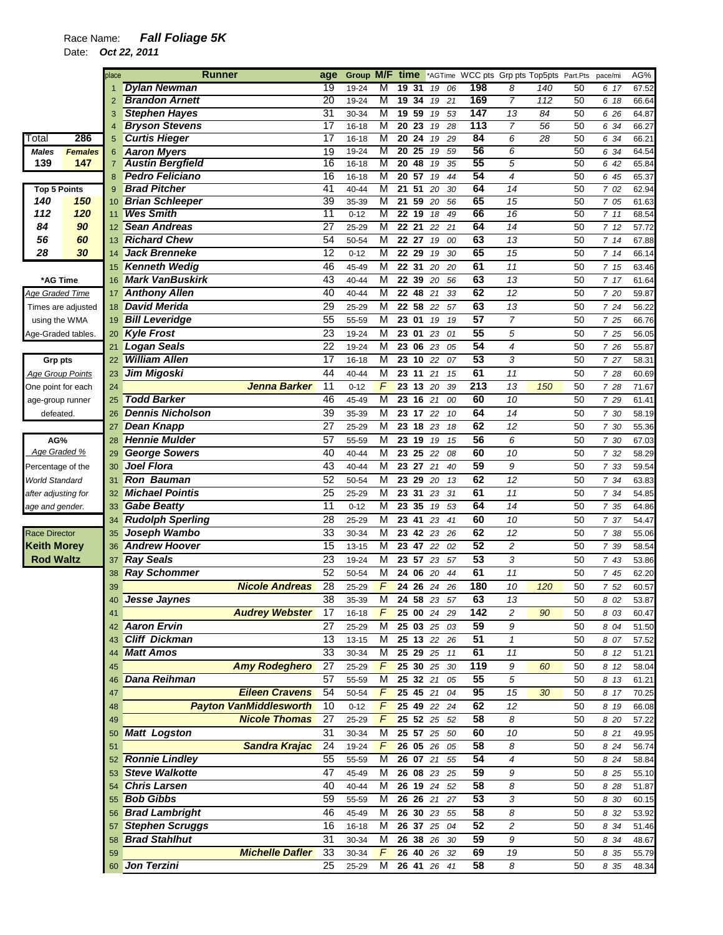## Race Name: *Fall Foliage 5K*

Date: *Oct 22, 2011* 

|                         |                    | place | Runner                        | age             | Group M/F time |   |                       |             |                  |                     | *AGTime WCC pts Grp pts Top5pts Part.Pts |    | pace/mi | AG%   |
|-------------------------|--------------------|-------|-------------------------------|-----------------|----------------|---|-----------------------|-------------|------------------|---------------------|------------------------------------------|----|---------|-------|
|                         |                    |       | <b>Dylan Newman</b>           | 19              | 19-24          | М | 19<br>-31             | 06<br>19    | 198              | 8                   | 140                                      | 50 | 6 17    | 67.52 |
|                         |                    |       | <b>Brandon Arnett</b>         | 20              | 19-24          | М | 19<br>34              | 19<br>21    | 169              | $\overline{7}$      | 112                                      | 50 | 6 18    | 66.64 |
|                         |                    | 3     | <b>Stephen Hayes</b>          | 31              | 30-34          | М | 19 59                 | 53<br>19    | 147              | 13                  | 84                                       | 50 | 6 26    | 64.87 |
|                         |                    | 4     | <b>Bryson Stevens</b>         | 17              | 16-18          | М | 20<br>23              | 19<br>28    | $\overline{113}$ | 7                   | 56                                       | 50 | 6 34    | 66.27 |
| Total                   | 286                | 5     | <b>Curtis Hieger</b>          | $\overline{17}$ | 16-18          | М | $\overline{20}$<br>24 | 29<br>19    | 84               | 6                   | $\overline{28}$                          | 50 | 6 34    | 66.21 |
| Males                   | <b>Females</b>     | 6     | <b>Aaron Myers</b>            | 19              | 19-24          | М | $20\overline{25}$     | 59<br>19    | 56               | 6                   |                                          | 50 | 6 34    | 64.54 |
| 139                     | 147                | 7     | <b>Austin Bergfield</b>       | $\overline{16}$ | 16-18          | М | 20<br>48              | 35<br>19    | 55               | 5                   |                                          | 50 | 6 42    | 65.84 |
|                         |                    | 8     | <b>Pedro Feliciano</b>        | 16              | 16-18          | M | $\overline{20}$<br>57 | 44<br>19    | 54               | $\overline{4}$      |                                          | 50 | 6 45    | 65.37 |
| <b>Top 5 Points</b>     |                    | 9     | <b>Brad Pitcher</b>           | 41              | 40-44          | М | 51<br>21              | 20<br>30    | 64               | 14                  |                                          | 50 | 7 02    | 62.94 |
| 140                     | 150                | 10    | <b>Brian Schleeper</b>        | 39              | 35-39          | М | 21<br>59              | 20<br>56    | 65               | 15                  |                                          | 50 | 7 05    | 61.63 |
| 112                     | 120                | 11    | <b>Wes Smith</b>              | 11              | $0 - 12$       | М | 22<br>19              | 18<br>49    | 66               | 16                  |                                          | 50 | 711     | 68.54 |
| 84                      | 90                 | 12    | <b>Sean Andreas</b>           | 27              | 25-29          | М | $\overline{21}$<br>22 | 21<br>22    | 64               | 14                  |                                          | 50 | 712     | 57.72 |
| 56                      | 60                 | 13    | <b>Richard Chew</b>           | 54              | 50-54          | М | 22 27                 | 19<br>00    | 63               | 13                  |                                          | 50 | 714     | 67.88 |
| 28                      | 30                 | 14    | <b>Jack Brenneke</b>          | 12              | $0 - 12$       | М | 22<br>29              | 30<br>19    | 65               | 15                  |                                          | 50 | 714     | 66.14 |
|                         |                    | 15    | <b>Kenneth Wedig</b>          | 46              | 45-49          | М | 22 31                 | 20<br>20    | 61               | 11                  |                                          | 50 | 7 15    | 63.46 |
| *AG Time                |                    | 16    | <b>Mark VanBuskirk</b>        | 43              | 40-44          | М | 22 39                 | 56<br>20    | 63               | 13                  |                                          | 50 | 7 17    | 61.64 |
| Age Graded Time         |                    | 17    | <b>Anthony Allen</b>          | 40              | 40-44          | М | 22 48                 | 21<br>33    | 62               | 12                  |                                          | 50 | 7 20    | 59.87 |
|                         | Times are adjusted | 18    | <b>David Merida</b>           | 29              | 25-29          | М | 22<br>58              | 22<br>57    | 63               | 13                  |                                          | 50 | 7 24    | 56.22 |
| using the WMA           |                    | 19    | <b>Bill Leveridge</b>         | 55              | 55-59          | М | 23 01                 | 19<br>19    | 57               | $\overline{7}$      |                                          | 50 | 7 25    | 66.76 |
| Age-Graded tables.      |                    | 20    | <b>Kyle Frost</b>             | 23              | 19-24          | М | 23<br>01              | 23<br>01    | 55               | 5                   |                                          | 50 | 7 25    | 56.05 |
|                         |                    | 21    | <b>Logan Seals</b>            | 22              | 19-24          | М | 23 06                 | 23<br>05    | 54               | 4                   |                                          | 50 | 7 26    | 55.87 |
| <b>Grp pts</b>          |                    | 22    | <b>William Allen</b>          | 17              | 16-18          | M | 23<br>10              | 07<br>22    | 53               | 3                   |                                          | 50 | 7 27    | 58.31 |
| <b>Age Group Points</b> |                    | 23    | Jim Migoski                   | 44              | 40-44          | М | 23<br>11              | 21<br>15    | 61               | 11                  |                                          | 50 | 7 28    | 60.69 |
| One point for each      |                    | 24    | <b>Jenna Barker</b>           | 11              | $0 - 12$       | F | 23 13                 | 20<br>39    | 213              | 13                  | 150                                      | 50 | 7 28    | 71.67 |
|                         |                    | 25    | <b>Todd Barker</b>            | 46              | 45-49          | М | 23 16                 | 21<br>00    | 60               | 10                  |                                          | 50 | 7 29    | 61.41 |
| age-group runner        |                    |       | <b>Dennis Nicholson</b>       | 39              |                | М |                       |             | 64               | 14                  |                                          |    |         |       |
| defeated.               |                    | 26    |                               |                 | 35-39          |   | 23 17                 | 10<br>22    |                  |                     |                                          | 50 | 7 30    | 58.19 |
|                         |                    | 27    | <b>Dean Knapp</b>             | 27              | 25-29          | М | 23 18                 | 23<br>18    | 62               | 12                  |                                          | 50 | 7 30    | 55.36 |
| AG%                     |                    | 28    | <b>Hennie Mulder</b>          | 57              | 55-59          | М | 23 19                 | 19<br>15    | 56               | 6                   |                                          | 50 | 7 30    | 67.03 |
| Age Graded %            |                    | 29    | <b>George Sowers</b>          | 40              | 40-44          | М | 23 25                 | 22<br>08    | 60               | 10                  |                                          | 50 | 7 32    | 58.29 |
| Percentage of the       |                    | 30    | <b>Joel Flora</b>             | 43              | 40-44          | M | 23 27                 | 40<br>21    | 59               | 9                   |                                          | 50 | 7 33    | 59.54 |
| World Standard          |                    | 31    | <b>Ron Bauman</b>             | 52              | 50-54          | М | 23<br>29              | 20<br>13    | 62               | 12                  |                                          | 50 | 7 34    | 63.83 |
| after adjusting for     |                    | 32    | <b>Michael Pointis</b>        | $\overline{25}$ | 25-29          | M | 23<br>31              | 23<br>31    | 61               | 11                  |                                          | 50 | 7 34    | 54.85 |
| age and gender.         |                    | 33    | <b>Gabe Beatty</b>            | 11              | $0 - 12$       | М | 35<br>23              | 53<br>19    | 64               | 14                  |                                          | 50 | 7 35    | 64.86 |
|                         |                    | 34    | <b>Rudolph Sperling</b>       | 28              | 25-29          | М | 23<br>41              | 23<br>41    | 60               | 10                  |                                          | 50 | 7 37    | 54.47 |
| <b>Race Director</b>    |                    | 35    | Joseph Wambo                  | 33              | 30-34          | М | 23<br>42              | 23<br>26    | 62               | 12                  |                                          | 50 | 7 38    | 55.06 |
| <b>Keith Morey</b>      |                    | 36    | <b>Andrew Hoover</b>          | 15              | $13 - 15$      | М | 23 47                 | 22<br>02    | 52               | $\overline{c}$      |                                          | 50 | 7 39    | 58.54 |
| <b>Rod Waltz</b>        |                    | 37    | <b>Ray Seals</b>              | 23              | 19-24          | М | 23 57                 | 57<br>23    | 53               | 3                   |                                          | 50 | 7 43    | 53.86 |
|                         |                    | 38    | <b>Ray Schommer</b>           | 52              | 50-54          | M | 24<br>06              | 20<br>44    | 61               | 11                  |                                          | 50 | 7 45    | 62.20 |
|                         |                    | 39    | <b>Nicole Andreas</b>         | 28              | 25-29          | F | 24<br>26              | 24<br>26    | 180              | 10                  | 120                                      | 50 | 7 52    | 60.57 |
|                         |                    |       | Jesse Jaynes                  | 38              | 35-39          | M |                       | 24 58 23 57 | 63               | 13                  |                                          | 50 | 8 02    | 53.87 |
|                         |                    | 41    | <b>Audrey Webster</b>         | 17              | 16-18          | F |                       | 25 00 24 29 | 142              | $\overline{c}$      | 90                                       | 50 | 8 0 3   | 60.47 |
|                         |                    | 42    | <b>Aaron Ervin</b>            | 27              | 25-29          | М |                       | 25 03 25 03 | 59               | 9                   |                                          | 50 | 8 04    | 51.50 |
|                         |                    | 43    | <b>Cliff Dickman</b>          | 13              | 13-15          | М | 25 13 22              | 26          | 51               | $\pmb{\mathcal{1}}$ |                                          | 50 | 8 07    | 57.52 |
|                         |                    | 44    | <b>Matt Amos</b>              | 33              | 30-34          | м | 25 29                 | 25<br>11    | 61               | 11                  |                                          | 50 | 8 12    | 51.21 |
|                         |                    | 45    | <b>Amy Rodeghero</b>          | $\overline{27}$ | 25-29          | F | 25 30 25              | 30          | 119              | 9                   | 60                                       | 50 | 8 12    | 58.04 |
|                         |                    |       | <b>Dana Reihman</b>           | 57              |                | М | 25 32 21              | 05          | 55               | 5                   |                                          | 50 |         |       |
|                         |                    | 46    | <b>Eileen Cravens</b>         | 54              | 55-59          | F |                       |             | 95               |                     |                                          |    | 8 13    | 61.21 |
|                         |                    | 47    |                               |                 | 50-54          |   | 25 45 21              | 04          |                  | 15                  | 30                                       | 50 | 8 17    | 70.25 |
|                         |                    | 48    | <b>Payton VanMiddlesworth</b> | 10              | $0 - 12$       | F | 25 49 22              | 24          | 62               | 12                  |                                          | 50 | 8 19    | 66.08 |
|                         |                    | 49    | <b>Nicole Thomas</b>          | 27              | 25-29          | F |                       | 25 52 25 52 | 58               | 8                   |                                          | 50 | 8 20    | 57.22 |
|                         |                    | 50    | <b>Matt Logston</b>           | 31              | 30-34          | M | 25 57 25              | 50          | 60               | 10                  |                                          | 50 | 8 21    | 49.95 |
|                         |                    | 51    | <b>Sandra Krajac</b>          | 24              | 19-24          | F | 26 05 26              | 05          | 58               | 8                   |                                          | 50 | 8 24    | 56.74 |
|                         |                    | 52    | <b>Ronnie Lindley</b>         | 55              | 55-59          | м | 26 07 21              | 55          | 54               | 4                   |                                          | 50 | 8 2 4   | 58.84 |
|                         |                    | 53    | <b>Steve Walkotte</b>         | 47              | 45-49          | М |                       | 26 08 23 25 | 59               | 9                   |                                          | 50 | 8 25    | 55.10 |
|                         |                    |       | <b>Chris Larsen</b>           | 40              | 40-44          | М | 26 19 24              | 52          | 58               | 8                   |                                          | 50 | 8 2 8   | 51.87 |
|                         |                    | 55    | <b>Bob Gibbs</b>              | 59              | 55-59          | М | 26 26 21              | 27          | 53               | 3                   |                                          | 50 | 8 30    | 60.15 |
|                         |                    |       | <b>Brad Lambright</b>         | 46              | 45-49          | М | 26 30                 | 23<br>55    | 58               | 8                   |                                          | 50 | 8 32    | 53.92 |
|                         |                    |       | <b>Stephen Scruggs</b>        | 16              | 16-18          | М | 26 37 25              | 04          | 52               | 2                   |                                          | 50 | 8 34    | 51.46 |
|                         |                    | 58    | <b>Brad Stahlhut</b>          | 31              | 30-34          | М | 26 38 26              | 30          | 59               | 9                   |                                          | 50 | 8 34    | 48.67 |
|                         |                    | 59    | <b>Michelle Dafler</b>        | 33              | 30-34          | F | 26 40 26              | - 32        | 69               | 19                  |                                          | 50 | 8 35    | 55.79 |
|                         |                    |       | 60 Jon Terzini                | $\overline{25}$ | 25-29          | М |                       | 26 41 26 41 | 58               | 8                   |                                          | 50 | 8 35    | 48.34 |
|                         |                    |       |                               |                 |                |   |                       |             |                  |                     |                                          |    |         |       |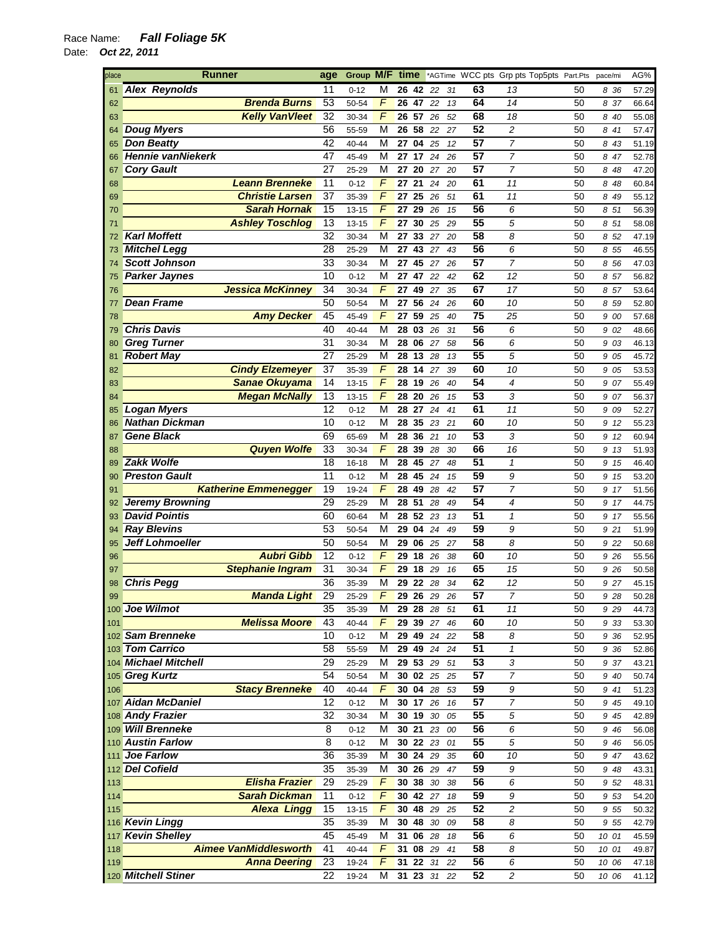| place<br><b>Runner</b> |                          |                              | age             | Group M/F |                | time  |          |              |    |    | *AGTime WCC pts Grp pts Top5pts Part.Pts |    | pace/mi | AG%   |
|------------------------|--------------------------|------------------------------|-----------------|-----------|----------------|-------|----------|--------------|----|----|------------------------------------------|----|---------|-------|
| 61                     | <b>Alex Reynolds</b>     |                              | 11              | $0 - 12$  | М              |       | 2642     | 22           | 31 | 63 | 13                                       | 50 | 836     | 57.29 |
| 62                     |                          | <b>Brenda Burns</b>          | 53              | 50-54     | $\overline{F}$ | 26 47 |          | 22           | 13 | 64 | 14                                       | 50 | 8 37    | 66.64 |
| 63                     |                          | <b>Kelly VanVleet</b>        | 32              | 30-34     | F              | 26 57 |          | 26           | 52 | 68 | 18                                       | 50 | 8 40    | 55.08 |
| 64                     | <b>Doug Myers</b>        |                              | 56              | 55-59     | M              | 26 58 |          | 22           | 27 | 52 | $\overline{c}$                           | 50 | 8 41    | 57.47 |
| 65                     | <b>Don Beatty</b>        |                              | 42              | 40-44     | M              |       | 27 04    | 25           | 12 | 57 | $\overline{7}$                           | 50 | 8 43    | 51.19 |
| 66                     | <b>Hennie vanNiekerk</b> |                              | 47              | 45-49     | M              | 27    | 17       | 24           | 26 | 57 | $\overline{7}$                           | 50 | 8 47    | 52.78 |
| 67                     | <b>Cory Gault</b>        |                              | 27              | 25-29     | M              | 27    | 20       | 27           | 20 | 57 | $\overline{7}$                           | 50 | 8 48    | 47.20 |
| 68                     |                          | <b>Leann Brenneke</b>        | 11              | $0 - 12$  | F              | 27    | 21       | 24           | 20 | 61 | 11                                       | 50 | 8 48    | 60.84 |
| 69                     |                          | <b>Christie Larsen</b>       | $\overline{37}$ | 35-39     | F              | 27    | 25       | 26           | 51 | 61 | 11                                       | 50 | 8 49    | 55.12 |
|                        |                          | <b>Sarah Hornak</b>          | $\overline{15}$ |           | F              |       | 29       |              |    | 56 |                                          |    |         |       |
| 70                     |                          |                              |                 | 13-15     |                | 27    |          | 26           | 15 |    | 6                                        | 50 | 8 51    | 56.39 |
| 71                     |                          | <b>Ashley Toschlog</b>       | $\overline{13}$ | 13-15     | $\overline{F}$ | 27    | 30       | 25           | 29 | 55 | 5                                        | 50 | 8 51    | 58.08 |
| 72                     | <b>Karl Moffett</b>      |                              | 32              | 30-34     | M              | 27    | 33       | 27           | 20 | 58 | 8                                        | 50 | 8 52    | 47.19 |
| 73                     | <b>Mitchel Legg</b>      |                              | 28              | 25-29     | M              | 27    | 43       | 27           | 43 | 56 | 6                                        | 50 | 8 55    | 46.55 |
| 74                     | <b>Scott Johnson</b>     |                              | 33              | 30-34     | M              | 27    | 45       | 27           | 26 | 57 | $\overline{7}$                           | 50 | 8 56    | 47.03 |
| 75                     | <b>Parker Jaynes</b>     |                              | 10              | $0 - 12$  | M              | 27    | 47       | 22           | 42 | 62 | 12                                       | 50 | 8 57    | 56.82 |
| 76                     |                          | <b>Jessica McKinney</b>      | 34              | 30-34     | F              | 27    | 49       | 27           | 35 | 67 | 17                                       | 50 | 857     | 53.64 |
| 77                     | <b>Dean Frame</b>        |                              | 50              | 50-54     | М              | 27    | 56       | 24           | 26 | 60 | 10                                       | 50 | 8 59    | 52.80 |
| 78                     |                          | <b>Amy Decker</b>            | 45              | 45-49     | $\sqrt{2}$     | 27    | 59       | 25           | 40 | 75 | 25                                       | 50 | 9 00    | 57.68 |
| 79                     | <b>Chris Davis</b>       |                              | 40              | 40-44     | M              |       | 28 03 26 |              | 31 | 56 | 6                                        | 50 | 9 02    | 48.66 |
| 80                     | <b>Greg Turner</b>       |                              | 31              | 30-34     | M              | 28    | 06       | 27           | 58 | 56 | 6                                        | 50 | 9 03    | 46.13 |
|                        | <b>Robert May</b>        |                              | 27              | 25-29     | M              | 28    | 13       | 28           | 13 | 55 | 5                                        | 50 | 9 05    | 45.72 |
| 81                     |                          |                              |                 |           |                |       |          |              |    |    |                                          |    |         |       |
| 82                     |                          | <b>Cindy Elzemeyer</b>       | $\overline{37}$ | 35-39     | $\overline{F}$ | 28    | 14       | 27           | 39 | 60 | 10                                       | 50 | 9 05    | 53.53 |
| 83                     |                          | Sanae Okuyama                | 14              | $13 - 15$ | $\overline{F}$ | 28    | 19       | 26           | 40 | 54 | $\overline{4}$                           | 50 | 9 07    | 55.49 |
| 84                     |                          | <b>Megan McNally</b>         | 13              | 13-15     | F              | 28 20 |          | 26           | 15 | 53 | 3                                        | 50 | 9 07    | 56.37 |
| 85                     | <b>Logan Myers</b>       |                              | 12              | $0 - 12$  | M              | 28    | 27       | 24           | 41 | 61 | 11                                       | 50 | 9 09    | 52.27 |
| 86                     | <b>Nathan Dickman</b>    |                              | 10              | $0 - 12$  | M              | 28    | 35       | 23           | 21 | 60 | 10                                       | 50 | 9 12    | 55.23 |
| 87                     | <b>Gene Black</b>        |                              | 69              | 65-69     | M              | 28    | 36       | 21           | 10 | 53 | 3                                        | 50 | 9 12    | 60.94 |
| 88                     |                          | <b>Quyen Wolfe</b>           | 33              | 30-34     | F              | 28    | 39       | 28           | 30 | 66 | 16                                       | 50 | 9 13    | 51.93 |
| 89                     | <b>Zakk Wolfe</b>        |                              | 18              | 16-18     | M              | 28    | 45       | 27           | 48 | 51 | $\pmb{\mathcal{1}}$                      | 50 | 9 15    | 46.40 |
| 90                     | <b>Preston Gault</b>     |                              | 11              | $0 - 12$  | M              | 28    | 45       | 24           | 15 | 59 | 9                                        | 50 | 9 15    | 53.20 |
| 91                     |                          | <b>Katherine Emmenegger</b>  | 19              | 19-24     | $\overline{F}$ | 28    | 49       | 28           | 42 | 57 | $\overline{7}$                           | 50 | 9 17    | 51.56 |
|                        | <b>Jeremy Browning</b>   |                              | 29              | 25-29     | M              | 28    | 51       | 28           | 49 | 54 | $\overline{4}$                           | 50 | 917     | 44.75 |
| 92                     |                          |                              |                 |           |                |       |          |              |    | 51 |                                          |    |         |       |
| 93                     | <b>David Pointis</b>     |                              | 60              | 60-64     | M              | 28    | 52       | 23           | 13 |    | 1                                        | 50 | 917     | 55.56 |
| 94                     | <b>Ray Blevins</b>       |                              | 53              | 50-54     | М              | 29    | 04       | 24           | 49 | 59 | 9                                        | 50 | 9 21    | 51.99 |
| 95                     | <b>Jeff Lohmoeller</b>   |                              | 50              | 50-54     | M              | 29    | 06       | 25           | 27 | 58 | 8                                        | 50 | 9 22    | 50.68 |
| 96                     |                          | <b>Aubri Gibb</b>            | 12              | $0 - 12$  | F              | 29    | 18       | 26           | 38 | 60 | 10                                       | 50 | 9 26    | 55.56 |
| 97                     |                          | <b>Stephanie Ingram</b>      | 31              | 30-34     | F              | 29    | 18       | 29           | 16 | 65 | 15                                       | 50 | 9 26    | 50.58 |
| 98                     | <b>Chris Pegg</b>        |                              | 36              | 35-39     | М              | 29    | 22       | 28           | 34 | 62 | 12                                       | 50 | 9 27    | 45.15 |
| 99                     |                          | <b>Manda Light</b>           | 29              | 25-29     | $\overline{F}$ |       | 29 26 29 |              | 26 | 57 | $\overline{7}$                           | 50 | 9 28    | 50.28 |
|                        | 100 Joe Wilmot           |                              | 35              | 35-39     | M              |       |          | 29 28 28 51  |    | 61 | 11                                       | 50 | 9 2 9   | 44.73 |
| 101                    |                          | <b>Melissa Moore</b>         | 43              | 40-44     | F              |       | 29 39 27 |              | 46 | 60 | 10                                       | 50 | 9 33    | 53.30 |
|                        | 102 Sam Brenneke         |                              | 10              | $0 - 12$  | M              |       |          | 29 49 24     | 22 | 58 | 8                                        | 50 | 9 36    | 52.95 |
|                        | 103 Tom Carrico          |                              | 58              | 55-59     | М              |       |          | 29 49 24 24  |    | 51 | $\mathbf{1}$                             | 50 | 9 36    | 52.86 |
|                        | 104 Michael Mitchell     |                              | 29              |           |                |       |          |              |    | 53 |                                          |    |         |       |
|                        |                          |                              |                 | 25-29     | M              |       |          | $29\ 53\ 29$ | 51 | 57 | 3                                        | 50 | 9 37    | 43.21 |
|                        | 105 Greg Kurtz           |                              | 54              | 50-54     | M              |       |          | 30 02 25 25  |    |    | $\overline{7}$                           | 50 | 9 40    | 50.74 |
| 106                    |                          | <b>Stacy Brenneke</b>        | 40              | 40-44     | F              | 30 04 |          | 28           | 53 | 59 | 9                                        | 50 | 9 41    | 51.23 |
|                        | 107 Aidan McDaniel       |                              | $\overline{12}$ | $0 - 12$  | M              |       | 30 17 26 |              | 16 | 57 | $\overline{7}$                           | 50 | 9 45    | 49.10 |
|                        | 108 Andy Frazier         |                              | $\overline{32}$ | 30-34     | М              |       | 30 19 30 |              | 05 | 55 | 5                                        | 50 | 9 45    | 42.89 |
|                        | 109 Will Brenneke        |                              | 8               | $0 - 12$  | М              |       |          | 30 21 23     | 00 | 56 | 6                                        | 50 | 9 4 6   | 56.08 |
|                        | 110 Austin Farlow        |                              | 8               | $0 - 12$  | M              |       |          | 30 22 23     | 01 | 55 | 5                                        | 50 | 9 4 6   | 56.05 |
|                        | 111 Joe Farlow           |                              | 36              | 35-39     | M              |       | 30 24 29 |              | 35 | 60 | 10                                       | 50 | 9 47    | 43.62 |
|                        | 112 Del Cofield          |                              | 35              | 35-39     | M              |       |          | $30\ 26\ 29$ | 47 | 59 | $\boldsymbol{9}$                         | 50 | 9 48    | 43.31 |
| 113                    |                          | <b>Elisha Frazier</b>        | 29              | 25-29     | F              |       | 30 38 30 |              | 38 | 56 | 6                                        | 50 | 9 52    | 48.31 |
| $114$                  |                          | <b>Sarah Dickman</b>         | 11              | $0 - 12$  | $\overline{F}$ |       | 30 42 27 |              | 18 | 59 | 9                                        | 50 | 9 53    | 54.20 |
| 115                    |                          | <b>Alexa Lingg</b>           | 15              | 13-15     | F              |       | 30 48 29 |              | 25 | 52 | $\overline{c}$                           | 50 | 9 55    | 50.32 |
|                        |                          |                              | 35              |           |                |       |          |              |    | 58 |                                          |    |         |       |
|                        | 116 Kevin Lingg          |                              |                 | 35-39     | М              |       | 30 48 30 |              | 09 |    | 8                                        | 50 | 9 5 5   | 42.79 |
|                        | 117 Kevin Shelley        |                              | 45              | 45-49     | M              |       | 31 06 28 |              | 18 | 56 | 6                                        | 50 | 10 01   | 45.59 |
| 118                    |                          | <b>Aimee VanMiddlesworth</b> | 41              | 40-44     | F              | 31    | 08 29    |              | 41 | 58 | 8                                        | 50 | 10 01   | 49.87 |
| 119                    |                          | <b>Anna Deering</b>          | 23              | 19-24     | $\overline{F}$ |       |          | 31 22 31 22  |    | 56 | 6                                        | 50 | 10 06   | 47.18 |
|                        | 120 Mitchell Stiner      |                              | $\overline{22}$ | 19-24     | М              |       |          | 31 23 31 22  |    | 52 | $\overline{\mathbf{c}}$                  | 50 | 10 06   | 41.12 |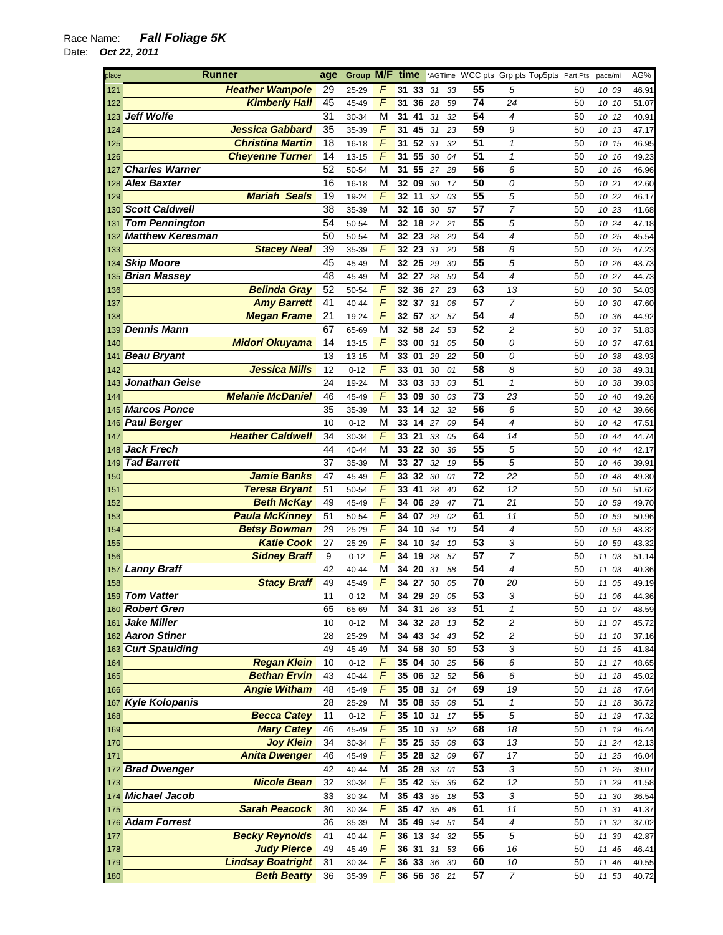| place | <b>Runner</b>         |                          |                 | Group M/F time |                         |                          |          |          |                 | *AGTime WCC pts Grp pts Top5pts Part.Pts |          | pace/mi        | AG%            |
|-------|-----------------------|--------------------------|-----------------|----------------|-------------------------|--------------------------|----------|----------|-----------------|------------------------------------------|----------|----------------|----------------|
| 121   |                       | <b>Heather Wampole</b>   | 29              | 25-29          |                         | 31 33                    | 31       | 33       | 55              | 5                                        | 50       | 10 09          | 46.91          |
| 122   |                       | <b>Kimberly Hall</b>     | 45              | 45-49          | $\overline{F}$          | 31<br>36                 | 28       | 59       | $\overline{74}$ | 24                                       | 50       | 10 10          | 51.07          |
|       | 123 Jeff Wolfe        |                          | 31              | 30-34          | M                       | 41<br>31                 | 31       | 32       | 54              | 4                                        | 50       | 10 12          | 40.91          |
| 124   |                       | <b>Jessica Gabbard</b>   | 35              | 35-39          | $\sqrt{2}$              | 31<br>45                 | 31       | 23       | 59              | 9                                        | 50       | 10<br>13       | 47.17          |
| 125   |                       | <b>Christina Martin</b>  | 18              | 16-18          | F                       | 52<br>31                 | 31       | 32       | 51              | $\mathbf{1}$                             | 50       | 10 15          | 46.95          |
| 126   |                       | <b>Cheyenne Turner</b>   | 14              | 13-15          | F                       | 55<br>31                 | 30       | 04       | 51              | 1                                        | 50       | 10 16          | 49.23          |
| 127   | <b>Charles Warner</b> |                          | 52              | 50-54          | M                       | 55<br>31                 | 27       | 28       | 56              | 6                                        | 50       | 10 16          | 46.96          |
|       | 128 Alex Baxter       |                          | 16              | 16-18          | М                       | 09<br>32                 | 30       | 17       | 50              | 0                                        | 50       | 10 21          | 42.60          |
| 129   |                       | <b>Mariah Seals</b>      | 19              | 19-24          | F                       | 32 11                    | 32       | 03       | 55              | 5                                        | 50       | 10 22          | 46.17          |
|       | 130 Scott Caldwell    |                          | $\overline{38}$ | 35-39          | M                       | 32 16                    | 30       | 57       | 57              | $\overline{7}$                           | 50       | 10 23          | 41.68          |
| 131   | <b>Tom Pennington</b> |                          | 54              | 50-54          | М                       | 32 18                    | 27       | 21       | 55              | 5                                        | 50       | 10 24          | 47.18          |
|       | 132 Matthew Keresman  |                          | 50              | 50-54          | M                       | 32<br>23                 | 28       | 20       | 54              | 4                                        | 50       | 10 25          | 45.54          |
| 133   |                       | <b>Stacey Neal</b>       | 39              | 35-39          | $\sqrt{2}$              | 32 23                    | 31       | 20       | 58              | 8                                        | 50       | 10 25          | 47.23          |
|       | 134 Skip Moore        |                          | 45              | 45-49          | М                       | 32<br>25                 | 29       | 30       | 55              | 5                                        | 50       | 10 26          | 43.73          |
|       | 135 Brian Massey      |                          | 48              | 45-49          | М                       | 32 27                    | 28       | 50       | 54              | 4                                        | 50       | 10 27          | 44.73          |
| 136   |                       | <b>Belinda Gray</b>      | 52              | 50-54          | F                       | 32<br>36                 | 27       | 23       | 63              | 13                                       | 50       | 10 30          | 54.03          |
| 137   |                       | <b>Amy Barrett</b>       | 41              | 40-44          | F                       | 32 37                    | 31       | 06       | 57              | 7                                        | 50       | 10 30          | 47.60          |
| 138   |                       | <b>Megan Frame</b>       | 21              | 19-24          | F                       | 32 57                    | 32       | 57       | $\overline{54}$ | 4                                        | 50       | 10 36          | 44.92          |
|       | 139 Dennis Mann       |                          | 67              | 65-69          | М                       | 32 58                    | 24       | 53       | 52              | 2                                        | 50       | 10 37          | 51.83          |
| 140   |                       | <b>Midori Okuyama</b>    | 14              | 13-15          | F                       | 33<br>00                 | 31       | 05       | 50              | 0                                        | 50       | 10 37          | 47.61          |
| 141   | <b>Beau Bryant</b>    |                          | 13              | 13-15          | M                       | 33 01                    | 29       | 22       | 50              | 0                                        | 50       | 10 38          | 43.93          |
| 142   |                       | <b>Jessica Mills</b>     | 12              | $0 - 12$       | F                       | 01<br>33                 | 30       | 01       | 58              | 8                                        | 50       | 10<br>38       | 49.31          |
| 143   | Jonathan Geise        |                          | 24              | 19-24          | $\overline{\mathsf{M}}$ | 03<br>33                 | 33       | 03       | 51              | $\mathbf{1}$                             | 50       | 10 38          | 39.03          |
| 144   |                       | <b>Melanie McDaniel</b>  | 46              | 45-49          | F                       | 33<br>09                 | 30       | 03       | 73              | 23                                       | 50       | 10 40          | 49.26          |
|       | 145 Marcos Ponce      |                          | 35              | 35-39          | М                       | 14<br>33                 | 32       | 32       | 56<br>54        | 6                                        | 50       | 10 42          | 39.66          |
|       | 146 Paul Berger       | <b>Heather Caldwell</b>  | 10              | $0 - 12$       | М<br>F                  | 33<br>14                 | 27       | 09       | 64              | 4                                        | 50       | 10 42          | 47.51          |
| 147   | 148 Jack Frech        |                          | 34<br>44        | 30-34          | M                       | 33 21<br>$\overline{2}2$ | 33       | 05       | 55              | 14<br>5                                  | 50       | 10 44          | 44.74          |
|       | 149 Tad Barrett       |                          | 37              | 40-44          | M                       | 33<br>33<br>27           | 30<br>32 | 36<br>19 | 55              | 5                                        | 50<br>50 | 10 44          | 42.17<br>39.91 |
| 150   |                       | <b>Jamie Banks</b>       | 47              | 35-39<br>45-49 | F                       | 32<br>33                 | 30       | 01       | 72              | 22                                       | 50       | 10 46<br>10 48 | 49.30          |
| 151   |                       | <b>Teresa Bryant</b>     | 51              | 50-54          | F                       | 41<br>33                 | 28       | 40       | 62              | 12                                       | 50       | 10 50          | 51.62          |
| 152   |                       | <b>Beth McKay</b>        | 49              | 45-49          | F                       | 06<br>34                 | 29       | 47       | 71              | 21                                       | 50       | 10 59          | 49.70          |
| 153   |                       | <b>Paula McKinney</b>    | 51              | 50-54          | F                       | 07<br>34                 | 29       | 02       | 61              | 11                                       | 50       | 10 59          | 50.96          |
| 154   |                       | <b>Betsy Bowman</b>      | 29              | 25-29          | F                       | 34 10                    | 34       | 10       | $\overline{54}$ | 4                                        | 50       | 10 59          | 43.32          |
| 155   |                       | <b>Katie Cook</b>        | 27              | 25-29          | F                       | 34 10                    | 34       | 10       | 53              | 3                                        | 50       | 10 59          | 43.32          |
| 156   |                       | <b>Sidney Braff</b>      | 9               | $0 - 12$       | F                       | 34 19                    | 28       | 57       | 57              | $\overline{7}$                           | 50       | 11 03          | 51.14          |
|       | 157 Lanny Braff       |                          | 42              | 40-44          | M                       | 34<br>20                 | 31       | 58       | 54              | 4                                        | 50       | 11 03          | 40.36          |
| 158   |                       | <b>Stacy Braff</b>       | 49              | 45-49          | $\sqrt{2}$              | 34 27                    | 30       | 05       | 70              | 20                                       | 50       | 11 05          | 49.19          |
|       | 159 Tom Vatter        |                          | 11              | $0 - 12$       | $\overline{\mathsf{M}}$ | 34<br>29                 | 29       | 05       | 53              | 3                                        | 50       | 11 06          | 44.36          |
|       | 160 Robert Gren       |                          | 65              | 65-69          | М                       | 34 31 26 33              |          |          | 51              | 1                                        | 50       | 11 07          | 48.59          |
|       | 161 Jake Miller       |                          | 10              | $0 - 12$       | М                       | 34                       | 32 28    | 13       | 52              | 2                                        | 50       | 11 07          | 45.72          |
|       | 162 Aaron Stiner      |                          | 28              | 25-29          | М                       | <b>34 43</b> 34          |          | 43       | $\overline{52}$ | 2                                        | 50       | 11 10          | 37.16          |
|       | 163 Curt Spaulding    |                          | 49              | 45-49          | M                       | 34 58 30                 |          | 50       | 53              | 3                                        | 50       | 11 15          | 41.84          |
| 164   |                       | <b>Regan Klein</b>       | 10              | $0 - 12$       | F                       | 35 04                    | 30       | 25       | 56              | 6                                        | 50       | 11 17          | 48.65          |
| 165   |                       | <b>Bethan Ervin</b>      | 43              | 40-44          | F                       | 35 06                    | 32       | 52       | 56              | 6                                        | 50       | 11 18          | 45.02          |
| 166   |                       | <b>Angie Witham</b>      | 48              | 45-49          | F                       | 3508                     | 31       | 04       | 69              | 19                                       | 50       | 11 18          | 47.64          |
|       | 167 Kyle Kolopanis    |                          | 28              | 25-29          | M                       | 35 08                    | 35       | 08       | 51              | $\mathbf{1}$                             | 50       | 11 18          | 36.72          |
| 168   |                       | <b>Becca Catey</b>       | 11              | $0 - 12$       | F                       | 35 10                    | 31       | 17       | 55              | 5                                        | 50       | 11 19          | 47.32          |
| 169   |                       | <b>Mary Catey</b>        | 46              | 45-49          | F                       | 35 10                    | 31       | 52       | 68              | 18                                       | 50       | 11 19          | 46.44          |
| 170   |                       | <b>Joy Klein</b>         | 34              | 30-34          | F                       | 35 25                    | 35       | 08       | 63              | 13                                       | 50       | 11 24          | 42.13          |
| 171   |                       | <b>Anita Dwenger</b>     | 46              | 45-49          | F                       | 35 28                    | 32       | 09       | 67              | 17                                       | 50       | 11 25          | 46.04          |
|       | 172 Brad Dwenger      |                          | 42              | $40 - 44$      | M                       | 35 28                    |          | 33 01    | 53              | 3                                        | 50       | 11 25          | 39.07          |
| 173   |                       | <b>Nicole Bean</b>       | 32              | 30-34          | F                       | 35 42                    | 35       | 36       | 62              | 12                                       | 50       | 11 29          | 41.58          |
|       | 174 Michael Jacob     |                          | 33              | 30-34          | M                       | 35 43                    | 35       | 18       | 53              | 3                                        | 50       | 11 30          | 36.54          |
| 175   |                       | <b>Sarah Peacock</b>     | 30              | 30-34          | $\sqrt{2}$              | 35 47                    | 35       | 46       | 61              | 11                                       | 50       | 11 31          | 41.37          |
|       | 176 Adam Forrest      |                          | 36              | 35-39          | М                       | 35 49                    | 34       | 51       | 54              | 4                                        | 50       | 11 32          | 37.02          |
| 177   |                       | <b>Becky Reynolds</b>    | 41              | $40 - 44$      | F                       | 36 13                    | 34       | 32       | 55              | 5                                        | 50       | 11 39          | 42.87          |
| 178   |                       | <b>Judy Pierce</b>       | 49              | 45-49          | F                       | 36 31                    | 31       | 53       | 66              | 16                                       | 50       | 11 45          | 46.41          |
| 179   |                       | <b>Lindsay Boatright</b> | 31              | 30-34          | F                       | 36 33                    | 36       | 30       | 60              | 10                                       | 50       | 11 46          | 40.55          |
| 180   |                       | <b>Beth Beatty</b>       | 36              | 35-39          | F                       | 36 56 36 21              |          |          | 57              | $\overline{7}$                           | 50       | 11 53          | 40.72          |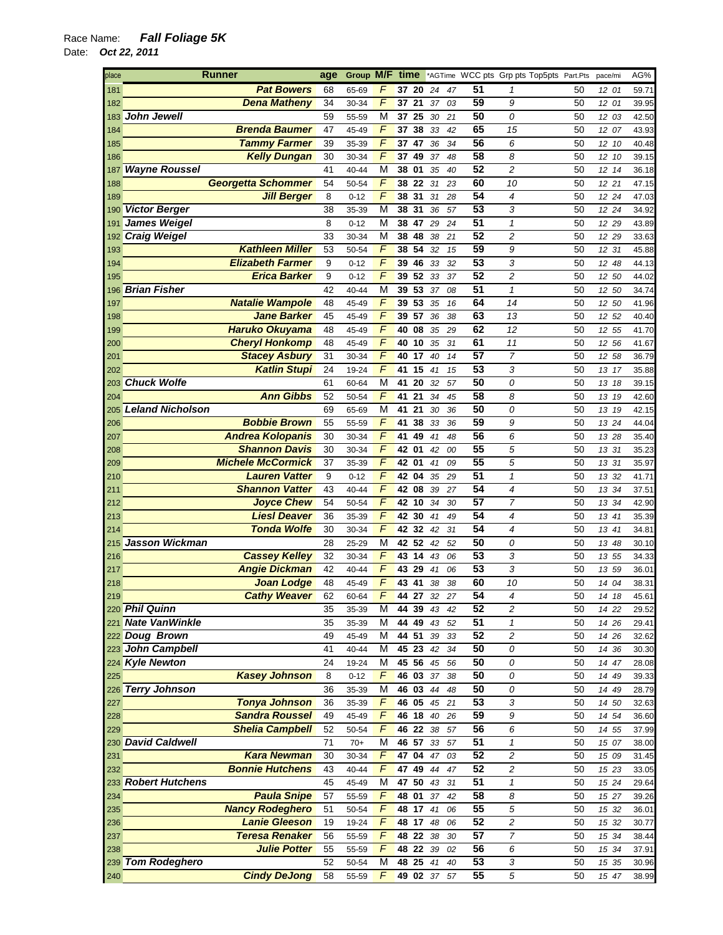| place      | <b>Runner</b>                             | age   | Group M/F |                | time        |    |    |                 | *AGTime WCC pts Grp pts Top5pts Part.Pts |    | pace/mi | AG%   |
|------------|-------------------------------------------|-------|-----------|----------------|-------------|----|----|-----------------|------------------------------------------|----|---------|-------|
| 181        | <b>Pat Bowers</b>                         | 68    | 65-69     |                | 37 20       | 24 | 47 | 51              | 1                                        | 50 | 12 01   | 59.71 |
| 182        | <b>Dena Matheny</b>                       | 34    | 30-34     | $\overline{F}$ | 37 21       | 37 | 03 | 59              | 9                                        | 50 | 12 01   | 39.95 |
|            | 183 John Jewell                           | 59    | 55-59     | M              | 37 25       | 30 | 21 | 50              | 0                                        | 50 | 12 03   | 42.50 |
| 184        | <b>Brenda Baumer</b>                      | 47    | 45-49     | F              | 37<br>38    | 33 | 42 | 65              | 15                                       | 50 | 12 07   | 43.93 |
| 185        | <b>Tammy Farmer</b>                       | 39    | 35-39     | F              | 37 47       | 36 | 34 | 56              | 6                                        | 50 | 12 10   | 40.48 |
| 186        | <b>Kelly Dungan</b>                       | 30    | 30-34     | F              | 37<br>49    | 37 | 48 | 58              | 8                                        | 50 | 12 10   | 39.15 |
| 187        | <b>Wayne Roussel</b>                      | 41    | 40-44     | M              | 38<br>01    | 35 | 40 | 52              | 2                                        | 50 | 12 14   | 36.18 |
|            | <b>Georgetta Schommer</b>                 | 54    | 50-54     | F              | 38<br>22    | 31 | 23 | 60              | 10                                       | 50 | 12 21   | 47.15 |
| 188        |                                           |       |           | F              | 31          |    |    | 54              | 4                                        |    |         |       |
| 189        | <b>Jill Berger</b>                        | 8     | $0 - 12$  |                | 38          | 31 | 28 | 53              |                                          | 50 | 12 24   | 47.03 |
| 190        | <b>Victor Berger</b>                      | 38    | 35-39     | M              | 38<br>31    | 36 | 57 |                 | 3                                        | 50 | 12 24   | 34.92 |
| 191        | <b>James Weigel</b>                       | 8     | $0 - 12$  | M              | 47<br>38    | 29 | 24 | 51              | $\mathbf{1}$                             | 50 | 12 29   | 43.89 |
|            | 192 Craig Weigel                          | 33    | 30-34     | M              | 38<br>48    | 38 | 21 | 52              | 2                                        | 50 | 12 29   | 33.63 |
| 193        | <b>Kathleen Miller</b>                    | 53    | 50-54     | F              | 54<br>38    | 32 | 15 | 59              | 9                                        | 50 | 12 31   | 45.88 |
| 194        | <b>Elizabeth Farmer</b>                   | $9\,$ | $0 - 12$  | $\overline{F}$ | 46<br>39    | 33 | 32 | 53              | 3                                        | 50 | 12 48   | 44.13 |
| 195        | <b>Erica Barker</b>                       | 9     | $0 - 12$  | F              | 52<br>39    | 33 | 37 | 52              | 2                                        | 50 | 12 50   | 44.02 |
|            | 196 Brian Fisher                          | 42    | 40-44     | М              | 39<br>53    | 37 | 08 | 51              | 1                                        | 50 | 12 50   | 34.74 |
| 197        | <b>Natalie Wampole</b>                    | 48    | 45-49     | F              | 53<br>39    | 35 | 16 | 64              | 14                                       | 50 | 12 50   | 41.96 |
| 198        | <b>Jane Barker</b>                        | 45    | 45-49     | F              | 39<br>57    | 36 | 38 | 63              | 13                                       | 50 | 12 52   | 40.40 |
| 199        | <b>Haruko Okuyama</b>                     | 48    | 45-49     | F              | 40<br>08    | 35 | 29 | 62              | 12                                       | 50 | 12 55   | 41.70 |
| 200        | <b>Cheryl Honkomp</b>                     | 48    | 45-49     | $\sqrt{F}$     | 40<br>10    | 35 | 31 | 61              | 11                                       | 50 | 12 56   | 41.67 |
| 201        | <b>Stacey Asbury</b>                      | 31    | 30-34     | F              | 40<br>17    | 40 | 14 | 57              | $\overline{7}$                           | 50 | 12 58   | 36.79 |
| 202        | <b>Katlin Stupi</b>                       | 24    | 19-24     | $\overline{F}$ | 15<br>41    | 41 | 15 | $\overline{53}$ | 3                                        | 50 | 13 17   | 35.88 |
|            | 203 Chuck Wolfe                           | 61    | 60-64     | М              | 20<br>41    | 32 | 57 | 50              | 0                                        | 50 | 13 18   | 39.15 |
| 204        | <b>Ann Gibbs</b>                          | 52    | 50-54     | F              | 21<br>41    | 34 | 45 | 58              | 8                                        | 50 | 13 19   | 42.60 |
| 205        | <b>Leland Nicholson</b>                   | 69    | 65-69     | М              | 41<br>21    | 30 | 36 | 50              | 0                                        | 50 | 13 19   | 42.15 |
| 206        | <b>Bobbie Brown</b>                       | 55    | 55-59     | F              | 38<br>41    | 33 | 36 | 59              | 9                                        | 50 | 13 24   | 44.04 |
| 207        | <b>Andrea Kolopanis</b>                   | 30    | 30-34     | F              | 41<br>49    | 41 | 48 | 56              | 6                                        | 50 | 13 28   | 35.40 |
| 208        | <b>Shannon Davis</b>                      | 30    | 30-34     | F              | 42<br>01    | 42 | 00 | 55              | 5                                        | 50 | 13 31   | 35.23 |
| 209        | <b>Michele McCormick</b>                  | 37    | 35-39     | F              | 42<br>01    | 41 | 09 | 55              | 5                                        | 50 | 13 31   | 35.97 |
| 210        | <b>Lauren Vatter</b>                      | 9     | $0 - 12$  | F              | 04<br>42    | 35 | 29 | 51              | $\mathcal I$                             | 50 | 13 32   | 41.71 |
| 211        | <b>Shannon Vatter</b>                     | 43    | 40-44     | F              | 42 08       | 39 | 27 | 54              | 4                                        | 50 | 13 34   | 37.51 |
| 212        | <b>Joyce Chew</b>                         | 54    | 50-54     | F              | 42<br>10    | 34 | 30 | 57              | 7                                        | 50 | 13 34   | 42.90 |
| 213        | <b>LiesI Deaver</b>                       | 36    | 35-39     | F              | 30<br>42    | 41 | 49 | 54              | 4                                        | 50 | 13 41   | 35.39 |
| 214        | <b>Tonda Wolfe</b>                        | 30    | 30-34     | F              | 42 32       | 42 | 31 | 54              | 4                                        | 50 | 13 41   | 34.81 |
|            | 215 Jasson Wickman                        | 28    | 25-29     | М              | 42 52       | 42 | 52 | 50              | 0                                        | 50 | 13 48   | 30.10 |
|            | <b>Cassey Kelley</b>                      | 32    |           | F              | 43 14       |    |    | 53              | 3                                        | 50 |         |       |
| 216        |                                           | 42    | 30-34     | F              | 29          | 43 | 06 | 53              |                                          |    | 13 55   | 34.33 |
| 217        | <b>Angie Dickman</b><br><b>Joan Lodge</b> |       | 40-44     | F              | 43<br>43 41 | 41 | 06 | 60              | 3                                        | 50 | 13 59   | 36.01 |
| 218<br>219 | <b>Cathy Weaver</b>                       | 48    | 45-49     | F              |             | 38 | 38 | 54              | 10<br>4                                  | 50 | 14 04   | 38.31 |
|            |                                           | 62    | 60-64     |                | 44<br>27    | 32 | 27 | 52              |                                          | 50 | 14 18   | 45.61 |
|            | 220 Phil Quinn                            | 35    | 35-39     | М              | 44 39       | 43 | 42 |                 | 2                                        | 50 | 14 22   | 29.52 |
|            | 221 Nate VanWinkle                        | 35    | 35-39     | М              | 44 49       | 43 | 52 | 51              | 1                                        | 50 | 14 26   | 29.41 |
|            | 222 Doug Brown                            | 49    | 45-49     | М              | 44 51       | 39 | 33 | 52              | 2                                        | 50 | 14 26   | 32.62 |
|            | 223 John Campbell                         | 41    | 40-44     | М              | 45 23       | 42 | 34 | 50              | 0                                        | 50 | 14 36   | 30.30 |
|            | 224 Kyle Newton                           | 24    | 19-24     | М              | 45 56       | 45 | 56 | 50              | 0                                        | 50 | 14 47   | 28.08 |
| 225        | <b>Kasey Johnson</b>                      | 8     | $0 - 12$  | F              | 46 03       | 37 | 38 | 50              | 0                                        | 50 | 14 49   | 39.33 |
|            | 226 Terry Johnson                         | 36    | 35-39     | M              | 46 03       | 44 | 48 | 50              | 0                                        | 50 | 14 49   | 28.79 |
| 227        | <b>Tonya Johnson</b>                      | 36    | 35-39     | $\overline{F}$ | 46 05       | 45 | 21 | 53              | 3                                        | 50 | 14 50   | 32.63 |
| 228        | <b>Sandra Roussel</b>                     | 49    | 45-49     | F              | 46 18       | 40 | 26 | 59              | 9                                        | 50 | 14 54   | 36.60 |
| 229        | <b>Shelia Campbell</b>                    | 52    | 50-54     | F              | 22<br>46    | 38 | 57 | 56              | 6                                        | 50 | 14 55   | 37.99 |
|            | 230 David Caldwell                        | 71    | $70+$     | М              | 46 57       | 33 | 57 | 51              | 1                                        | 50 | 15 07   | 38.00 |
| 231        | <b>Kara Newman</b>                        | 30    | 30-34     | F              | 47 04       | 47 | 03 | 52              | $\overline{\mathbf{c}}$                  | 50 | 15 09   | 31.45 |
| 232        | <b>Bonnie Hutchens</b>                    | 43    | 40-44     | F              | 47 49       | 44 | 47 | 52              | 2                                        | 50 | 15 23   | 33.05 |
|            | 233 Robert Hutchens                       | 45    | 45-49     | M              | 50<br>47    | 43 | 31 | 51              | $\pmb{\mathcal{1}}$                      | 50 | 15 24   | 29.64 |
| 234        | <b>Paula Snipe</b>                        | 57    | 55-59     | F              | 48<br>01    | 37 | 42 | 58              | 8                                        | 50 | 15 27   | 39.26 |
| 235        | <b>Nancy Rodeghero</b>                    | 51    | 50-54     | F              | 48 17       | 41 | 06 | 55              | 5                                        | 50 | 15 32   | 36.01 |
| 236        | <b>Lanie Gleeson</b>                      | 19    | 19-24     | F              | 48 17       | 48 | 06 | 52              | 2                                        | 50 | 15 32   | 30.77 |
| 237        | <b>Teresa Renaker</b>                     | 56    | 55-59     | F              | 48 22 38    |    | 30 | 57              | 7                                        | 50 | 15 34   | 38.44 |
| 238        | <b>Julie Potter</b>                       | 55    | 55-59     | F              | 48 22       | 39 | 02 | 56              | 6                                        | 50 | 15 34   | 37.91 |
|            | 239 Tom Rodeghero                         | 52    | 50-54     | М              | 48 25 41    |    | 40 | 53              | 3                                        | 50 | 15 35   | 30.96 |
| 240        | <b>Cindy DeJong</b>                       | 58    | 55-59     | F              | 49 02 37    |    | 57 | 55              | 5                                        | 50 | 15 47   | 38.99 |